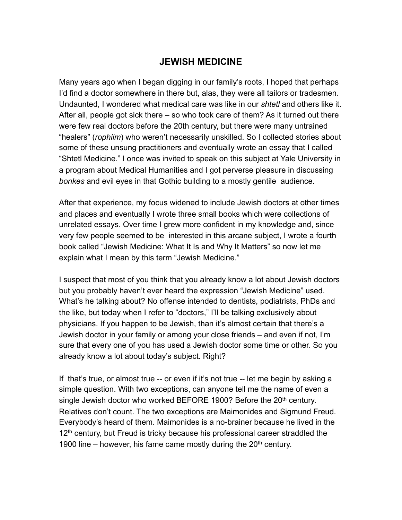## **JEWISH MEDICINE**

Many years ago when I began digging in our family's roots, I hoped that perhaps I'd find a doctor somewhere in there but, alas, they were all tailors or tradesmen. Undaunted, I wondered what medical care was like in our *shtetl* and others like it. After all, people got sick there – so who took care of them? As it turned out there were few real doctors before the 20th century, but there were many untrained "healers" (*rophiim*) who weren't necessarily unskilled. So I collected stories about some of these unsung practitioners and eventually wrote an essay that I called "Shtetl Medicine." I once was invited to speak on this subject at Yale University in a program about Medical Humanities and I got perverse pleasure in discussing *bonkes* and evil eyes in that Gothic building to a mostly gentile audience.

After that experience, my focus widened to include Jewish doctors at other times and places and eventually I wrote three small books which were collections of unrelated essays. Over time I grew more confident in my knowledge and, since very few people seemed to be interested in this arcane subject, I wrote a fourth book called "Jewish Medicine: What It Is and Why It Matters" so now let me explain what I mean by this term "Jewish Medicine."

I suspect that most of you think that you already know a lot about Jewish doctors but you probably haven't ever heard the expression "Jewish Medicine" used. What's he talking about? No offense intended to dentists, podiatrists, PhDs and the like, but today when I refer to "doctors," I'll be talking exclusively about physicians. If you happen to be Jewish, than it's almost certain that there's a Jewish doctor in your family or among your close friends – and even if not, I'm sure that every one of you has used a Jewish doctor some time or other. So you already know a lot about today's subject. Right?

If that's true, or almost true -- or even if it's not true -- let me begin by asking a simple question. With two exceptions, can anyone tell me the name of even a single Jewish doctor who worked BEFORE 1900? Before the 20<sup>th</sup> century. Relatives don't count. The two exceptions are Maimonides and Sigmund Freud. Everybody's heard of them. Maimonides is a no-brainer because he lived in the 12<sup>th</sup> century, but Freud is tricky because his professional career straddled the 1900 line – however, his fame came mostly during the  $20<sup>th</sup>$  century.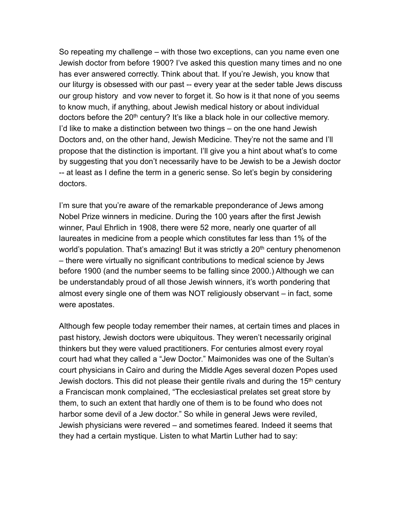So repeating my challenge – with those two exceptions, can you name even one Jewish doctor from before 1900? I've asked this question many times and no one has ever answered correctly. Think about that. If you're Jewish, you know that our liturgy is obsessed with our past -- every year at the seder table Jews discuss our group history and vow never to forget it. So how is it that none of you seems to know much, if anything, about Jewish medical history or about individual doctors before the 20<sup>th</sup> century? It's like a black hole in our collective memory. I'd like to make a distinction between two things – on the one hand Jewish Doctors and, on the other hand, Jewish Medicine. They're not the same and I'll propose that the distinction is important. I'll give you a hint about what's to come by suggesting that you don't necessarily have to be Jewish to be a Jewish doctor -- at least as I define the term in a generic sense. So let's begin by considering doctors.

I'm sure that you're aware of the remarkable preponderance of Jews among Nobel Prize winners in medicine. During the 100 years after the first Jewish winner, Paul Ehrlich in 1908, there were 52 more, nearly one quarter of all laureates in medicine from a people which constitutes far less than 1% of the world's population. That's amazing! But it was strictly a 20<sup>th</sup> century phenomenon – there were virtually no significant contributions to medical science by Jews before 1900 (and the number seems to be falling since 2000.) Although we can be understandably proud of all those Jewish winners, it's worth pondering that almost every single one of them was NOT religiously observant – in fact, some were apostates.

Although few people today remember their names, at certain times and places in past history, Jewish doctors were ubiquitous. They weren't necessarily original thinkers but they were valued practitioners. For centuries almost every royal court had what they called a "Jew Doctor." Maimonides was one of the Sultan's court physicians in Cairo and during the Middle Ages several dozen Popes used Jewish doctors. This did not please their gentile rivals and during the 15<sup>th</sup> century a Franciscan monk complained, "The ecclesiastical prelates set great store by them, to such an extent that hardly one of them is to be found who does not harbor some devil of a Jew doctor." So while in general Jews were reviled, Jewish physicians were revered – and sometimes feared. Indeed it seems that they had a certain mystique. Listen to what Martin Luther had to say: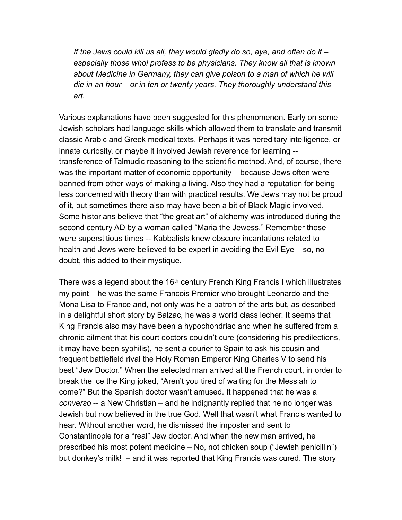*If the Jews could kill us all, they would gladly do so, aye, and often do it – especially those whoi profess to be physicians. They know all that is known about Medicine in Germany, they can give poison to a man of which he will die in an hour – or in ten or twenty years. They thoroughly understand this art.* 

Various explanations have been suggested for this phenomenon. Early on some Jewish scholars had language skills which allowed them to translate and transmit classic Arabic and Greek medical texts. Perhaps it was hereditary intelligence, or innate curiosity, or maybe it involved Jewish reverence for learning - transference of Talmudic reasoning to the scientific method. And, of course, there was the important matter of economic opportunity – because Jews often were banned from other ways of making a living. Also they had a reputation for being less concerned with theory than with practical results. We Jews may not be proud of it, but sometimes there also may have been a bit of Black Magic involved. Some historians believe that "the great art" of alchemy was introduced during the second century AD by a woman called "Maria the Jewess." Remember those were superstitious times -- Kabbalists knew obscure incantations related to health and Jews were believed to be expert in avoiding the Evil Eye – so, no doubt, this added to their mystique.

There was a legend about the 16<sup>th</sup> century French King Francis I which illustrates my point – he was the same Francois Premier who brought Leonardo and the Mona Lisa to France and, not only was he a patron of the arts but, as described in a delightful short story by Balzac, he was a world class lecher. It seems that King Francis also may have been a hypochondriac and when he suffered from a chronic ailment that his court doctors couldn't cure (considering his predilections, it may have been syphilis), he sent a courier to Spain to ask his cousin and frequent battlefield rival the Holy Roman Emperor King Charles V to send his best "Jew Doctor." When the selected man arrived at the French court, in order to break the ice the King joked, "Aren't you tired of waiting for the Messiah to come?" But the Spanish doctor wasn't amused. It happened that he was a *converso* -- a New Christian – and he indignantly replied that he no longer was Jewish but now believed in the true God. Well that wasn't what Francis wanted to hear. Without another word, he dismissed the imposter and sent to Constantinople for a "real" Jew doctor. And when the new man arrived, he prescribed his most potent medicine – No, not chicken soup ("Jewish penicillin") but donkey's milk! – and it was reported that King Francis was cured. The story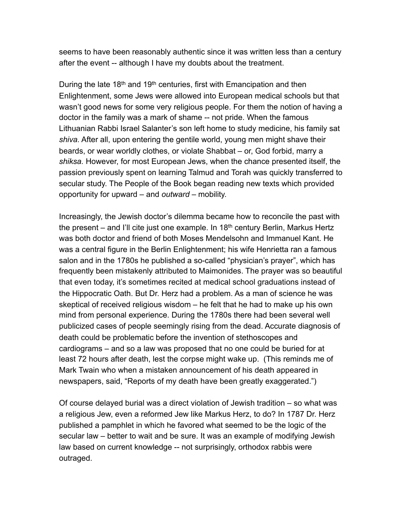seems to have been reasonably authentic since it was written less than a century after the event -- although I have my doubts about the treatment.

During the late 18<sup>th</sup> and 19<sup>th</sup> centuries, first with Emancipation and then Enlightenment, some Jews were allowed into European medical schools but that wasn't good news for some very religious people. For them the notion of having a doctor in the family was a mark of shame -- not pride. When the famous Lithuanian Rabbi Israel Salanter's son left home to study medicine, his family sat *shiva.* After all, upon entering the gentile world, young men might shave their beards, or wear worldly clothes, or violate Shabbat – or, God forbid, marry a *shiksa.* However, for most European Jews, when the chance presented itself, the passion previously spent on learning Talmud and Torah was quickly transferred to secular study. The People of the Book began reading new texts which provided opportunity for upward – and *outward* – mobility.

Increasingly, the Jewish doctor's dilemma became how to reconcile the past with the present – and I'll cite just one example. In  $18<sup>th</sup>$  century Berlin, Markus Hertz was both doctor and friend of both Moses Mendelsohn and Immanuel Kant. He was a central figure in the Berlin Enlightenment; his wife Henrietta ran a famous salon and in the 1780s he published a so-called "physician's prayer", which has frequently been mistakenly attributed to Maimonides. The prayer was so beautiful that even today, it's sometimes recited at medical school graduations instead of the Hippocratic Oath. But Dr. Herz had a problem. As a man of science he was skeptical of received religious wisdom – he felt that he had to make up his own mind from personal experience. During the 1780s there had been several well publicized cases of people seemingly rising from the dead. Accurate diagnosis of death could be problematic before the invention of stethoscopes and cardiograms – and so a law was proposed that no one could be buried for at least 72 hours after death, lest the corpse might wake up. (This reminds me of Mark Twain who when a mistaken announcement of his death appeared in newspapers, said, "Reports of my death have been greatly exaggerated.")

Of course delayed burial was a direct violation of Jewish tradition – so what was a religious Jew, even a reformed Jew like Markus Herz, to do? In 1787 Dr. Herz published a pamphlet in which he favored what seemed to be the logic of the secular law – better to wait and be sure. It was an example of modifying Jewish law based on current knowledge -- not surprisingly, orthodox rabbis were outraged.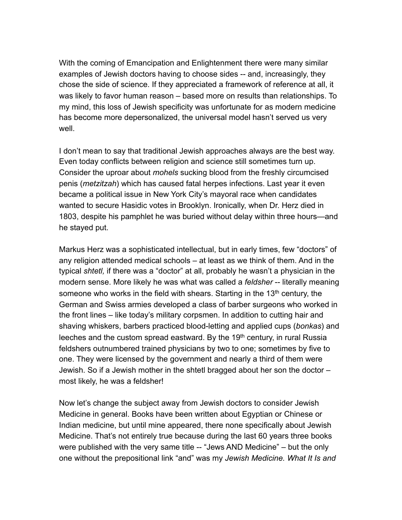With the coming of Emancipation and Enlightenment there were many similar examples of Jewish doctors having to choose sides -- and, increasingly, they chose the side of science. If they appreciated a framework of reference at all, it was likely to favor human reason – based more on results than relationships. To my mind, this loss of Jewish specificity was unfortunate for as modern medicine has become more depersonalized, the universal model hasn't served us very well.

I don't mean to say that traditional Jewish approaches always are the best way. Even today conflicts between religion and science still sometimes turn up. Consider the uproar about *mohels* sucking blood from the freshly circumcised penis (*metzitzah*) which has caused fatal herpes infections. Last year it even became a political issue in New York City's mayoral race when candidates wanted to secure Hasidic votes in Brooklyn. Ironically, when Dr. Herz died in 1803, despite his pamphlet he was buried without delay within three hours—and he stayed put.

Markus Herz was a sophisticated intellectual, but in early times, few "doctors" of any religion attended medical schools – at least as we think of them. And in the typical *shtetl,* if there was a "doctor" at all, probably he wasn't a physician in the modern sense. More likely he was what was called a *feldsher* -- literally meaning someone who works in the field with shears. Starting in the  $13<sup>th</sup>$  century, the German and Swiss armies developed a class of barber surgeons who worked in the front lines – like today's military corpsmen. In addition to cutting hair and shaving whiskers, barbers practiced blood-letting and applied cups (*bonkas*) and leeches and the custom spread eastward. By the 19<sup>th</sup> century, in rural Russia feldshers outnumbered trained physicians by two to one; sometimes by five to one. They were licensed by the government and nearly a third of them were Jewish. So if a Jewish mother in the shtetl bragged about her son the doctor – most likely, he was a feldsher!

Now let's change the subject away from Jewish doctors to consider Jewish Medicine in general. Books have been written about Egyptian or Chinese or Indian medicine, but until mine appeared, there none specifically about Jewish Medicine. That's not entirely true because during the last 60 years three books were published with the very same title -- "Jews AND Medicine" – but the only one without the prepositional link "and" was my *Jewish Medicine. What It Is and*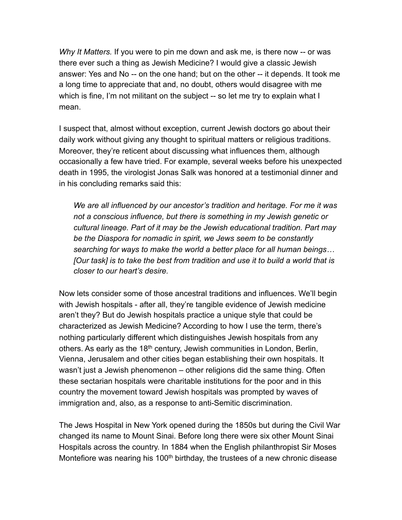*Why It Matters.* If you were to pin me down and ask me, is there now -- or was there ever such a thing as Jewish Medicine? I would give a classic Jewish answer: Yes and No -- on the one hand; but on the other -- it depends. It took me a long time to appreciate that and, no doubt, others would disagree with me which is fine, I'm not militant on the subject -- so let me try to explain what I mean.

I suspect that, almost without exception, current Jewish doctors go about their daily work without giving any thought to spiritual matters or religious traditions. Moreover, they're reticent about discussing what influences them, although occasionally a few have tried. For example, several weeks before his unexpected death in 1995, the virologist Jonas Salk was honored at a testimonial dinner and in his concluding remarks said this:

*We are all influenced by our ancestor's tradition and heritage. For me it was not a conscious influence, but there is something in my Jewish genetic or cultural lineage. Part of it may be the Jewish educational tradition. Part may be the Diaspora for nomadic in spirit, we Jews seem to be constantly searching for ways to make the world a better place for all human beings… [Our task] is to take the best from tradition and use it to build a world that is closer to our heart's desire.* 

Now lets consider some of those ancestral traditions and influences. We'll begin with Jewish hospitals - after all, they're tangible evidence of Jewish medicine aren't they? But do Jewish hospitals practice a unique style that could be characterized as Jewish Medicine? According to how I use the term, there's nothing particularly different which distinguishes Jewish hospitals from any others. As early as the 18<sup>th</sup> century, Jewish communities in London, Berlin, Vienna, Jerusalem and other cities began establishing their own hospitals. It wasn't just a Jewish phenomenon – other religions did the same thing. Often these sectarian hospitals were charitable institutions for the poor and in this country the movement toward Jewish hospitals was prompted by waves of immigration and, also, as a response to anti-Semitic discrimination.

The Jews Hospital in New York opened during the 1850s but during the Civil War changed its name to Mount Sinai. Before long there were six other Mount Sinai Hospitals across the country. In 1884 when the English philanthropist Sir Moses Montefiore was nearing his 100<sup>th</sup> birthday, the trustees of a new chronic disease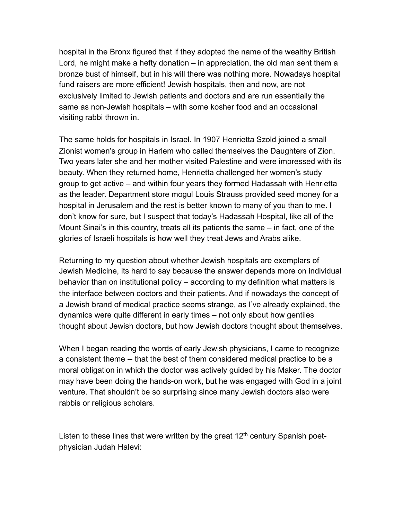hospital in the Bronx figured that if they adopted the name of the wealthy British Lord, he might make a hefty donation – in appreciation, the old man sent them a bronze bust of himself, but in his will there was nothing more. Nowadays hospital fund raisers are more efficient! Jewish hospitals, then and now, are not exclusively limited to Jewish patients and doctors and are run essentially the same as non-Jewish hospitals – with some kosher food and an occasional visiting rabbi thrown in.

The same holds for hospitals in Israel. In 1907 Henrietta Szold joined a small Zionist women's group in Harlem who called themselves the Daughters of Zion. Two years later she and her mother visited Palestine and were impressed with its beauty. When they returned home, Henrietta challenged her women's study group to get active – and within four years they formed Hadassah with Henrietta as the leader. Department store mogul Louis Strauss provided seed money for a hospital in Jerusalem and the rest is better known to many of you than to me. I don't know for sure, but I suspect that today's Hadassah Hospital, like all of the Mount Sinai's in this country, treats all its patients the same – in fact, one of the glories of Israeli hospitals is how well they treat Jews and Arabs alike.

Returning to my question about whether Jewish hospitals are exemplars of Jewish Medicine, its hard to say because the answer depends more on individual behavior than on institutional policy – according to my definition what matters is the interface between doctors and their patients. And if nowadays the concept of a Jewish brand of medical practice seems strange, as I've already explained, the dynamics were quite different in early times – not only about how gentiles thought about Jewish doctors, but how Jewish doctors thought about themselves.

When I began reading the words of early Jewish physicians, I came to recognize a consistent theme -- that the best of them considered medical practice to be a moral obligation in which the doctor was actively guided by his Maker. The doctor may have been doing the hands-on work, but he was engaged with God in a joint venture. That shouldn't be so surprising since many Jewish doctors also were rabbis or religious scholars.

Listen to these lines that were written by the great  $12<sup>th</sup>$  century Spanish poetphysician Judah Halevi: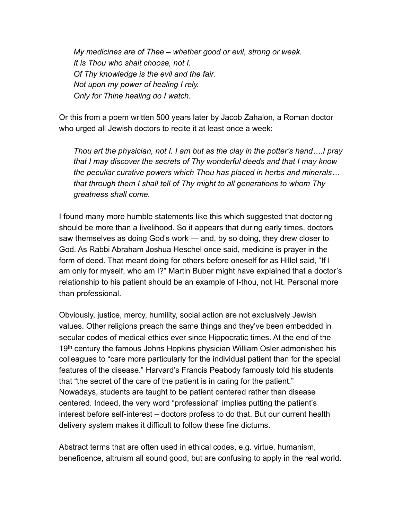*My medicines are of Thee – whether good or evil, strong or weak. It is Thou who shalt choose, not I. Of Thy knowledge is the evil and the fair. Not upon my power of healing I rely. Only for Thine healing do I watch.* 

Or this from a poem written 500 years later by Jacob Zahalon, a Roman doctor who urged all Jewish doctors to recite it at least once a week:

*Thou art the physician, not I. I am but as the clay in the potter's hand….I pray that I may discover the secrets of Thy wonderful deeds and that I may know the peculiar curative powers which Thou has placed in herbs and minerals… that through them I shall tell of Thy might to all generations to whom Thy greatness shall come.* 

I found many more humble statements like this which suggested that doctoring should be more than a livelihood. So it appears that during early times, doctors saw themselves as doing God's work — and, by so doing, they drew closer to God. As Rabbi Abraham Joshua Heschel once said, medicine is prayer in the form of deed. That meant doing for others before oneself for as Hillel said, "If I am only for myself, who am I?" Martin Buber might have explained that a doctor's relationship to his patient should be an example of I-thou, not I-it. Personal more than professional.

Obviously, justice, mercy, humility, social action are not exclusively Jewish values. Other religions preach the same things and they've been embedded in secular codes of medical ethics ever since Hippocratic times. At the end of the 19<sup>th</sup> century the famous Johns Hopkins physician William Osler admonished his colleagues to "care more particularly for the individual patient than for the special features of the disease." Harvard's Francis Peabody famously told his students that "the secret of the care of the patient is in caring for the patient." Nowadays, students are taught to be patient centered rather than disease centered. Indeed, the very word "professional" implies putting the patient's interest before self-interest – doctors profess to do that. But our current health delivery system makes it difficult to follow these fine dictums.

Abstract terms that are often used in ethical codes, e.g. virtue, humanism, beneficence, altruism all sound good, but are confusing to apply in the real world.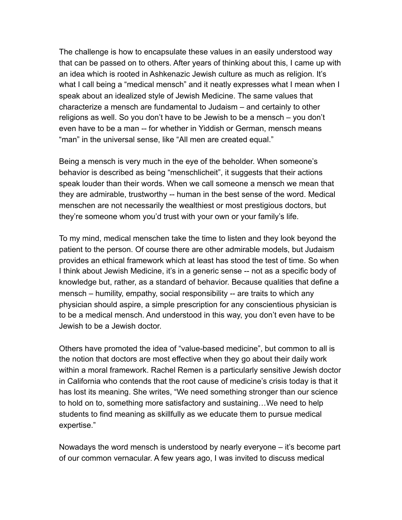The challenge is how to encapsulate these values in an easily understood way that can be passed on to others. After years of thinking about this, I came up with an idea which is rooted in Ashkenazic Jewish culture as much as religion. It's what I call being a "medical mensch" and it neatly expresses what I mean when I speak about an idealized style of Jewish Medicine. The same values that characterize a mensch are fundamental to Judaism – and certainly to other religions as well. So you don't have to be Jewish to be a mensch – you don't even have to be a man -- for whether in Yiddish or German, mensch means "man" in the universal sense, like "All men are created equal."

Being a mensch is very much in the eye of the beholder. When someone's behavior is described as being "menschlicheit", it suggests that their actions speak louder than their words. When we call someone a mensch we mean that they are admirable, trustworthy -- human in the best sense of the word. Medical menschen are not necessarily the wealthiest or most prestigious doctors, but they're someone whom you'd trust with your own or your family's life.

To my mind, medical menschen take the time to listen and they look beyond the patient to the person. Of course there are other admirable models, but Judaism provides an ethical framework which at least has stood the test of time. So when I think about Jewish Medicine, it's in a generic sense -- not as a specific body of knowledge but, rather, as a standard of behavior. Because qualities that define a mensch – humility, empathy, social responsibility -- are traits to which any physician should aspire, a simple prescription for any conscientious physician is to be a medical mensch. And understood in this way, you don't even have to be Jewish to be a Jewish doctor.

Others have promoted the idea of "value-based medicine", but common to all is the notion that doctors are most effective when they go about their daily work within a moral framework. Rachel Remen is a particularly sensitive Jewish doctor in California who contends that the root cause of medicine's crisis today is that it has lost its meaning. She writes, "We need something stronger than our science to hold on to, something more satisfactory and sustaining…We need to help students to find meaning as skillfully as we educate them to pursue medical expertise."

Nowadays the word mensch is understood by nearly everyone – it's become part of our common vernacular. A few years ago, I was invited to discuss medical